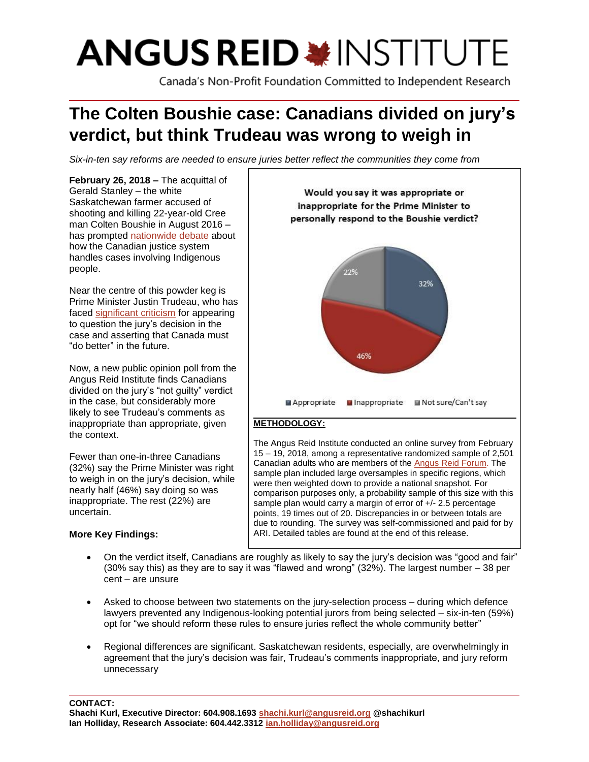# **ANGUS REID \*INSTITUTE**

Canada's Non-Profit Foundation Committed to Independent Research

# **The Colten Boushie case: Canadians divided on jury's verdict, but think Trudeau was wrong to weigh in**

*Six-in-ten say reforms are needed to ensure juries better reflect the communities they come from*

**February 26, 2018 –** The acquittal of Gerald Stanley – the white Saskatchewan farmer accused of shooting and killing 22-year-old Cree man Colten Boushie in August 2016 – has prompted [nationwide](https://www.theglobeandmail.com/news/national/protests-across-canada-after-acquittal-in-boushie-death/article37931825/) debate about how the Canadian justice system handles cases involving Indigenous people.

Near the centre of this powder keg is Prime Minister Justin Trudeau, who has faced [significant criticism](https://www.theglobeandmail.com/news/national/trudeau-wilson-raybould-draw-lawyers-ire-over-remarks-in-wake-of-stanley-verdict/article38025701/) for appearing to question the jury's decision in the case and asserting that Canada must "do better" in the future.

Now, a new public opinion poll from the Angus Reid Institute finds Canadians divided on the jury's "not guilty" verdict in the case, but considerably more likely to see Trudeau's comments as inappropriate than appropriate, given the context.

Fewer than one-in-three Canadians (32%) say the Prime Minister was right to weigh in on the jury's decision, while nearly half (46%) say doing so was inappropriate. The rest (22%) are uncertain.

# **More Key Findings:**



The Angus Reid Institute conducted an online survey from February 15 – 19, 2018, among a representative randomized sample of 2,501 Canadian adults who are members of th[e Angus Reid Forum.](https://www.angusreidforum.com/) The sample plan included large oversamples in specific regions, which were then weighted down to provide a national snapshot. For comparison purposes only, a probability sample of this size with this sample plan would carry a margin of error of +/- 2.5 percentage points, 19 times out of 20. Discrepancies in or between totals are due to rounding. The survey was self-commissioned and paid for by ARI. Detailed tables are found at the end of this release.

- On the verdict itself, Canadians are roughly as likely to say the jury's decision was "good and fair" (30% say this) as they are to say it was "flawed and wrong" (32%). The largest number – 38 per cent – are unsure
- Asked to choose between two statements on the jury-selection process during which defence lawyers prevented any Indigenous-looking potential jurors from being selected – six-in-ten (59%) opt for "we should reform these rules to ensure juries reflect the whole community better"
- Regional differences are significant. Saskatchewan residents, especially, are overwhelmingly in agreement that the jury's decision was fair, Trudeau's comments inappropriate, and jury reform unnecessary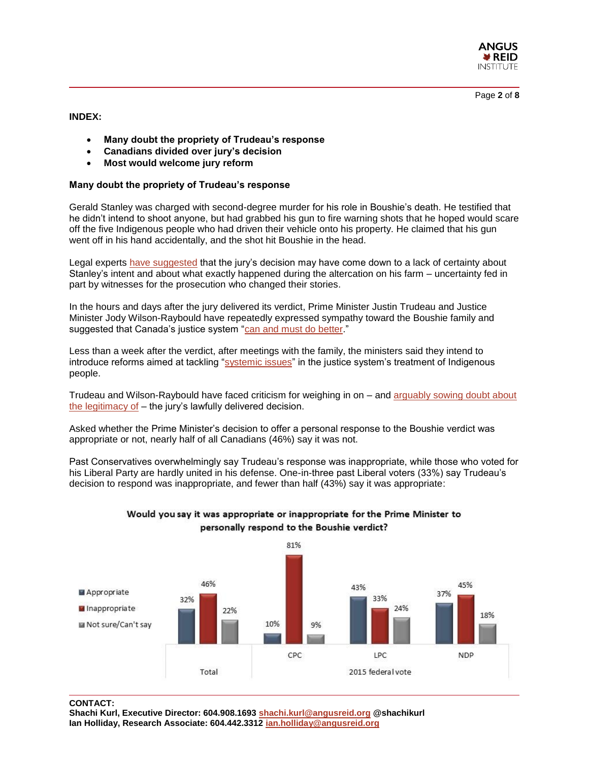

Page **2** of **8**

**INDEX:**

- **Many doubt the propriety of Trudeau's response**
- **Canadians divided over jury's decision**
- **Most would welcome jury reform**

# **Many doubt the propriety of Trudeau's response**

Gerald Stanley was charged with second-degree murder for his role in Boushie's death. He testified that he didn't intend to shoot anyone, but had grabbed his gun to fire warning shots that he hoped would scare off the five Indigenous people who had driven their vehicle onto his property. He claimed that his gun went off in his hand accidentally, and the shot hit Boushie in the head.

Legal experts have [suggested](http://www.cbc.ca/news/canada/saskatchewan/gerald-stanley-colten-boushie-jury-verdict-1.4532064) that the jury's decision may have come down to a lack of certainty about Stanley's intent and about what exactly happened during the altercation on his farm – uncertainty fed in part by witnesses for the prosecution who changed their stories.

In the hours and days after the jury delivered its verdict, Prime Minister Justin Trudeau and Justice Minister Jody Wilson-Raybould have repeatedly expressed sympathy toward the Boushie family and suggested that Canada's justice system ["can and must do better.](https://twitter.com/Puglaas/status/962184439685156864)"

Less than a week after the verdict, after meetings with the family, the ministers said they intend to introduce reforms aimed at tackling ["systemic issues"](http://www.cbc.ca/news/politics/jury-selection-diversity-indigenous-1.4531792) in the justice system's treatment of Indigenous people.

Trudeau and Wilson-Raybould have faced criticism for weighing in on – and [arguably sowing doubt about](http://www.cbc.ca/news/opinion/tweets-boushie-debate-1.4534208)  [the legitimacy of](http://www.cbc.ca/news/opinion/tweets-boushie-debate-1.4534208) – the jury's lawfully delivered decision.

Asked whether the Prime Minister's decision to offer a personal response to the Boushie verdict was appropriate or not, nearly half of all Canadians (46%) say it was not.

Past Conservatives overwhelmingly say Trudeau's response was inappropriate, while those who voted for his Liberal Party are hardly united in his defense. One-in-three past Liberal voters (33%) say Trudeau's decision to respond was inappropriate, and fewer than half (43%) say it was appropriate:



# Would you say it was appropriate or inappropriate for the Prime Minister to personally respond to the Boushie verdict?

**CONTACT:** 

**Shachi Kurl, Executive Director: 604.908.1693 [shachi.kurl@angusreid.org](mailto:shachi.kurl@angusreid.org) @shachikurl Ian Holliday, Research Associate: 604.442.3312 [ian.holliday@angusreid.org](mailto:ian.holliday@angusreid.org)**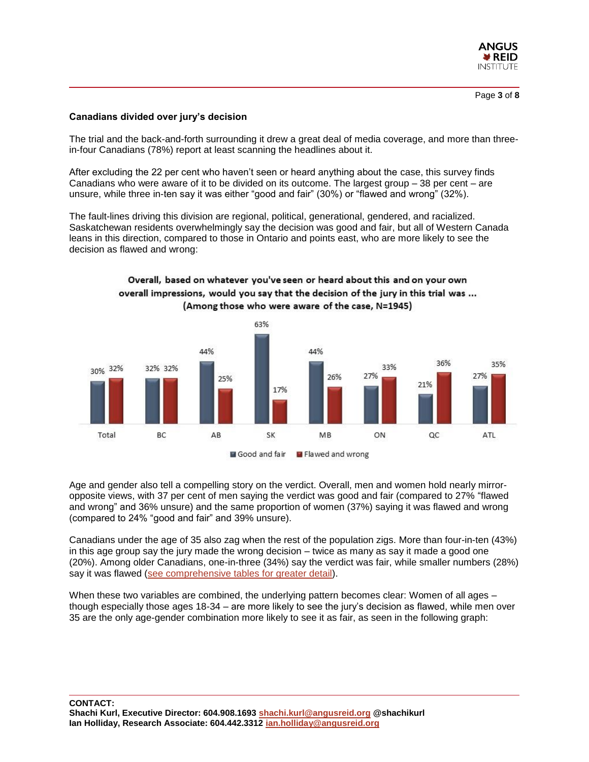

### **Canadians divided over jury's decision**

(compared to 24% "good and fair" and 39% unsure).

The trial and the back-and-forth surrounding it drew a great deal of media coverage, and more than threein-four Canadians (78%) report at least scanning the headlines about it.

After excluding the 22 per cent who haven't seen or heard anything about the case, this survey finds Canadians who were aware of it to be divided on its outcome. The largest group – 38 per cent – are unsure, while three in-ten say it was either "good and fair" (30%) or "flawed and wrong" (32%).

The fault-lines driving this division are regional, political, generational, gendered, and racialized. Saskatchewan residents overwhelmingly say the decision was good and fair, but all of Western Canada leans in this direction, compared to those in Ontario and points east, who are more likely to see the decision as flawed and wrong:

> Overall, based on whatever you've seen or heard about this and on your own overall impressions, would you say that the decision of the jury in this trial was ...



Age and gender also tell a compelling story on the verdict. Overall, men and women hold nearly mirroropposite views, with 37 per cent of men saying the verdict was good and fair (compared to 27% "flawed and wrong" and 36% unsure) and the same proportion of women (37%) saying it was flawed and wrong

Canadians under the age of 35 also zag when the rest of the population zigs. More than four-in-ten (43%) in this age group say the jury made the wrong decision – twice as many as say it made a good one (20%). Among older Canadians, one-in-three (34%) say the verdict was fair, while smaller numbers (28%) say it was flawed [\(see comprehensive tables for greater detail\)](http://angusreid.org/wp-content/uploads/2018/02/2018.02.19-BoushieReleaseTables.pdf).

When these two variables are combined, the underlying pattern becomes clear: Women of all ages – though especially those ages 18-34 – are more likely to see the jury's decision as flawed, while men over 35 are the only age-gender combination more likely to see it as fair, as seen in the following graph: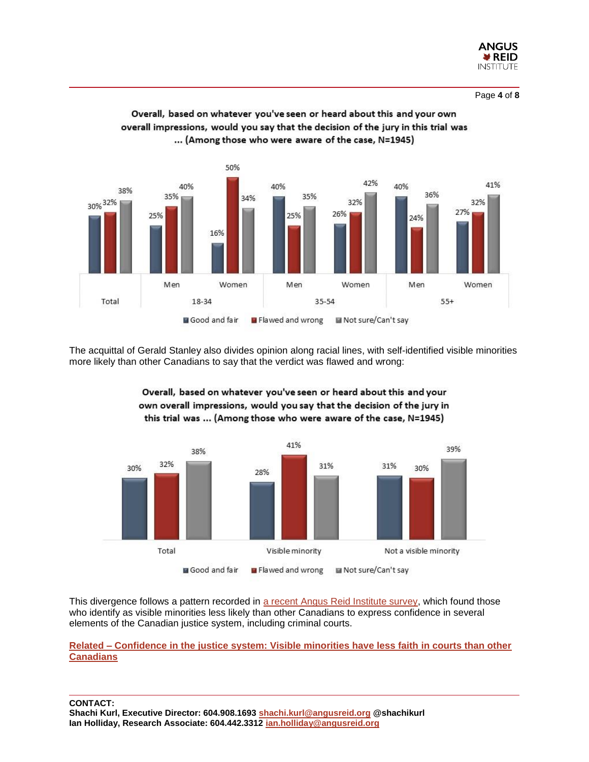



Overall, based on whatever you've seen or heard about this and your own overall impressions, would you say that the decision of the jury in this trial was ... (Among those who were aware of the case, N=1945)

The acquittal of Gerald Stanley also divides opinion along racial lines, with self-identified visible minorities more likely than other Canadians to say that the verdict was flawed and wrong:



Overall, based on whatever you've seen or heard about this and your own overall impressions, would you say that the decision of the jury in this trial was ... (Among those who were aware of the case, N=1945)

This divergence follows a pattern recorded in [a recent Angus Reid Institute survey,](http://angusreid.org/justice-system-confidence/) which found those who identify as visible minorities less likely than other Canadians to express confidence in several elements of the Canadian justice system, including criminal courts.

**Related – [Confidence in the justice system: Visible minorities have less faith in courts than other](http://angusreid.org/justice-system-confidence/)  [Canadians](http://angusreid.org/justice-system-confidence/)**

**CONTACT:** 

**Shachi Kurl, Executive Director: 604.908.1693 [shachi.kurl@angusreid.org](mailto:shachi.kurl@angusreid.org) @shachikurl Ian Holliday, Research Associate: 604.442.3312 [ian.holliday@angusreid.org](mailto:ian.holliday@angusreid.org)**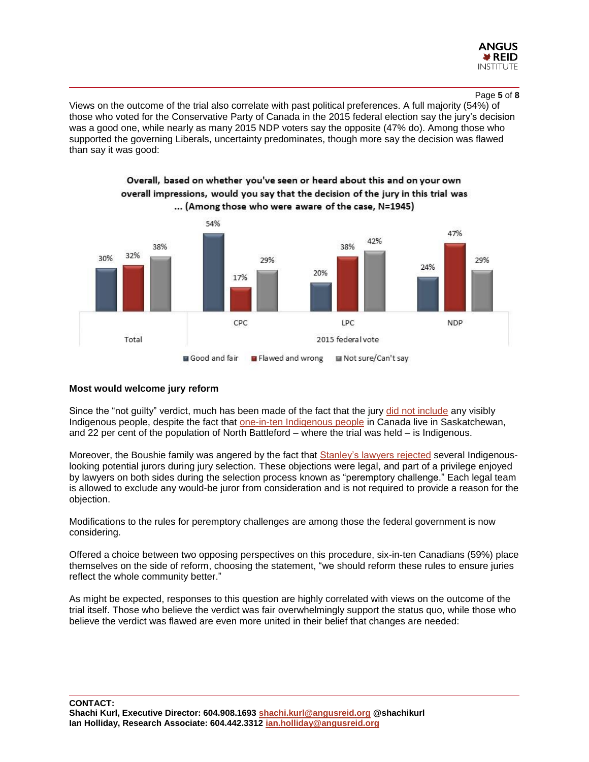

#### Page **5** of **8**

Views on the outcome of the trial also correlate with past political preferences. A full majority (54%) of those who voted for the Conservative Party of Canada in the 2015 federal election say the jury's decision was a good one, while nearly as many 2015 NDP voters say the opposite (47% do). Among those who supported the governing Liberals, uncertainty predominates, though more say the decision was flawed than say it was good:

Overall, based on whether you've seen or heard about this and on your own



# **Most would welcome jury reform**

Since the "not guilty" verdict, much has been made of the fact that the jury [did not include](http://www.cbc.ca/news/politics/jury-selection-diversity-indigenous-1.4531792) any visibly Indigenous people, despite the fact that [one-in-ten Indigenous people](http://www.statcan.gc.ca/pub/89-656-x/89-656-x2016009-eng.htm) in Canada live in Saskatchewan, and 22 per cent of the population of North Battleford – where the trial was held – is Indigenous.

Moreover, the Boushie family was angered by the fact that **Stanley's lawyers rejected** several Indigenouslooking potential jurors during jury selection. These objections were legal, and part of a privilege enjoyed by lawyers on both sides during the selection process known as "peremptory challenge." Each legal team is allowed to exclude any would-be juror from consideration and is not required to provide a reason for the objection.

Modifications to the rules for peremptory challenges are among those the federal government is now considering.

Offered a choice between two opposing perspectives on this procedure, six-in-ten Canadians (59%) place themselves on the side of reform, choosing the statement, "we should reform these rules to ensure juries reflect the whole community better."

As might be expected, responses to this question are highly correlated with views on the outcome of the trial itself. Those who believe the verdict was fair overwhelmingly support the status quo, while those who believe the verdict was flawed are even more united in their belief that changes are needed:

**CONTACT: Shachi Kurl, Executive Director: 604.908.1693 [shachi.kurl@angusreid.org](mailto:shachi.kurl@angusreid.org) @shachikurl Ian Holliday, Research Associate: 604.442.3312 [ian.holliday@angusreid.org](mailto:ian.holliday@angusreid.org)**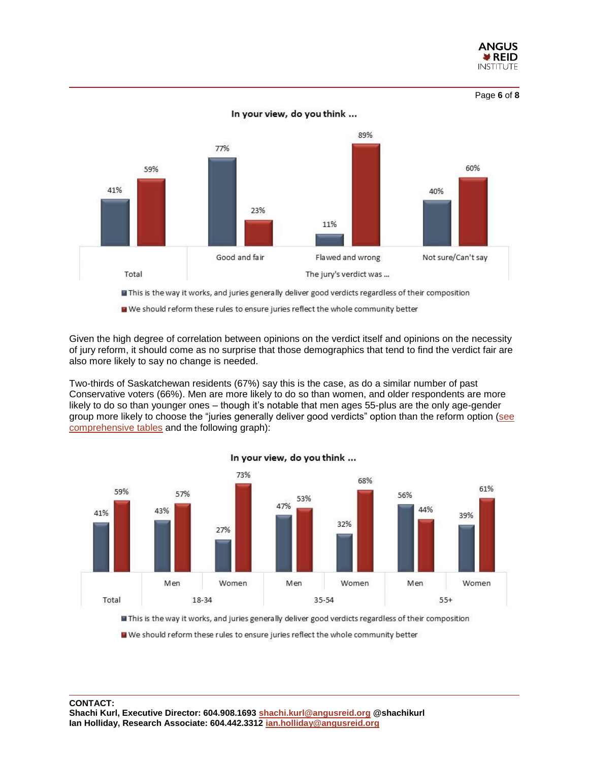

Page **6** of **8**



Given the high degree of correlation between opinions on the verdict itself and opinions on the necessity of jury reform, it should come as no surprise that those demographics that tend to find the verdict fair are also more likely to say no change is needed.

Two-thirds of Saskatchewan residents (67%) say this is the case, as do a similar number of past Conservative voters (66%). Men are more likely to do so than women, and older respondents are more likely to do so than younger ones – though it's notable that men ages 55-plus are the only age-gender group more likely to choose the "juries generally deliver good verdicts" option than the reform option [\(see](http://angusreid.org/wp-content/uploads/2018/02/2018.02.19-BoushieReleaseTables.pdf)  [comprehensive tables](http://angusreid.org/wp-content/uploads/2018/02/2018.02.19-BoushieReleaseTables.pdf) and the following graph):



In your view, do you think ...

This is the way it works, and juries generally deliver good verdicts regardless of their composition

We should reform these rules to ensure juries reflect the whole community better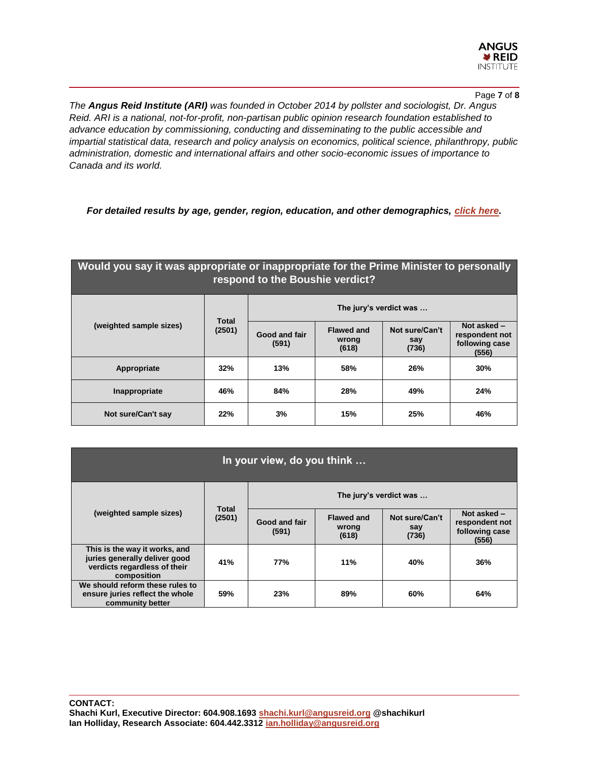

#### Page **7** of **8**

*The Angus Reid Institute (ARI) was founded in October 2014 by pollster and sociologist, Dr. Angus Reid. ARI is a national, not-for-profit, non-partisan public opinion research foundation established to advance education by commissioning, conducting and disseminating to the public accessible and impartial statistical data, research and policy analysis on economics, political science, philanthropy, public administration, domestic and international affairs and other socio-economic issues of importance to Canada and its world.*

*For detailed results by age, gender, region, education, and other demographics, [click here.](http://angusreid.org/wp-content/uploads/2018/02/2018.02.19-BoushieReleaseTables.pdf)*

# **Would you say it was appropriate or inappropriate for the Prime Minister to personally respond to the Boushie verdict?**

| (weighted sample sizes) | <b>Total</b><br>(2501) | The jury's verdict was |                                     |                                |                                                            |
|-------------------------|------------------------|------------------------|-------------------------------------|--------------------------------|------------------------------------------------------------|
|                         |                        | Good and fair<br>(591) | <b>Flawed and</b><br>wrong<br>(618) | Not sure/Can't<br>say<br>(736) | Not asked $-$<br>respondent not<br>following case<br>(556) |
| Appropriate             | 32%                    | 13%                    | 58%                                 | 26%                            | 30%                                                        |
| Inappropriate           | 46%                    | 84%                    | 28%                                 | 49%                            | 24%                                                        |
| Not sure/Can't say      | 22%                    | 3%                     | 15%                                 | 25%                            | 46%                                                        |

| In your view, do you think                                                                                    |                        |                        |                                     |                                |                                                          |  |  |  |
|---------------------------------------------------------------------------------------------------------------|------------------------|------------------------|-------------------------------------|--------------------------------|----------------------------------------------------------|--|--|--|
| (weighted sample sizes)                                                                                       | <b>Total</b><br>(2501) | The jury's verdict was |                                     |                                |                                                          |  |  |  |
|                                                                                                               |                        | Good and fair<br>(591) | <b>Flawed and</b><br>wrong<br>(618) | Not sure/Can't<br>say<br>(736) | Not asked -<br>respondent not<br>following case<br>(556) |  |  |  |
| This is the way it works, and<br>juries generally deliver good<br>verdicts regardless of their<br>composition | 41%                    | 77%                    | 11%                                 | 40%                            | 36%                                                      |  |  |  |
| We should reform these rules to<br>ensure juries reflect the whole<br>community better                        | 59%                    | 23%                    | 89%                                 | 60%                            | 64%                                                      |  |  |  |